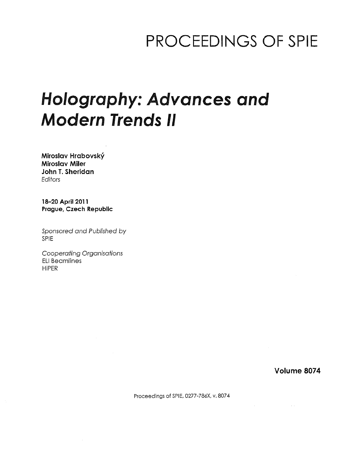## PROCEEDINGS OF SPIE

# Holography: Advances and Modern Trends II

Miroslav Hrabovsky Miroslav Miler John T. Sheridan Editors

18-20 April 2011 Prague, Czech Republic

Sponsored and Published by SPIE

Cooperating Organisations ELI Beamlines HiPER

Volume 8074

 $\sim$   $\sim$ 

Proceedings of SPIE, 0277-786X, v. 8074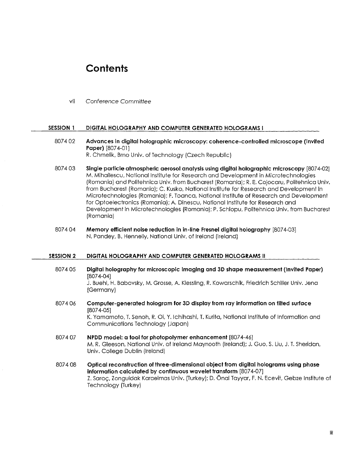### **Contents**

vii Conference Committee

#### SESSION <sup>1</sup> DIGITAL HOLOGRAPHY AND COMPUTER GENERATED HOLOGRAMS <sup>I</sup>

- 8074 02 Advances in digital holographic microscopy: coherence-controlled microscope (Invited Paper) [8074-01] R. Chmelik, Brno Univ. of Technology (Czech Republic)
- 8074 03 Single particle atmospheric aerosol analysis using digital holographic microscopy [8074-02] M. Mihailescu, National Institute for Research and Development in Microtechnologies (Romania) and Politehnica Univ. from Bucharest (Romania); R. E. Cojocaru, Politehnica Univ. from Bucharest (Romania); C. Kusko, National Institute for Research and Development in Microtechnologies (Romania); F. Toanca, National Institute of Research and Development for Optoelectronics (Romania); A. Dinescu, National Institute for Research and Development in Microtechnologies (Romania); P. Schiopu, Politehnica Univ. from Bucharest (Romania)
- 8074 04 Memory efficient noise reduction in in-line Fresnei digital holography [8074-03] N. Pandey, B. Hennelly, National Univ. of Ireland (Ireland)

#### SESSION 2 DIGITAL HOLOGRAPHY AND COMPUTER GENERATED HOLOGRAMS II

- 8074 05 Digital holography for microscopic Imaging and 3D shape measurement (Invited Paper) [8074-04] J. Buehl, H. Babovsky, M. Grosse, A. Kiessling, R. Kowarschik, Friedrich Schiller Univ. Jena (Germany)
- 8074 06 Computer-generated hologram for 3D display from ray information on tilted surface [8074-05] K. Yamamoto, T. Senoh, R. Oi, Y. Ichihashi, T. Kurita, National Institute of Information and Communications Technology (Japan)
- 8074 07 NPDD model: a tool for photopolymer enhancement [8074-46] M. R. Gleeson, National Univ. of Ireland Maynooth (Ireland); J. Guo, S. Liu, J. T. Sheridan, Univ. College Dublin (Ireland)
- 8074 08 Optical reconstruction of three-dimensional object from digital holograms using phase information calculated by continuous wavelet transform [8074-07] Z. Sarac, Zonguldak Karaelmas Univ. (Turkey); D. Onal Tayyar, F. N. Ecevit, Gebze Institute of Technology (Turkey)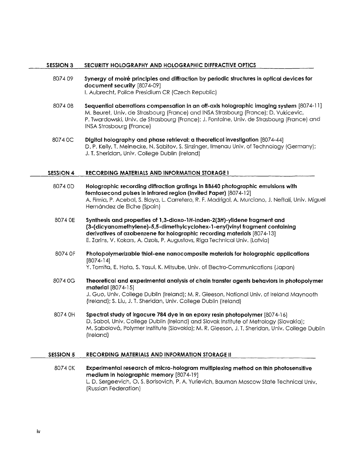#### SESSION <sup>3</sup> SECURITY HOLOGRAPHY AND HOLOGRAPHIC DIFFRACTIVE OPTICS

- 8074 09 Synergy of moire principles and diffraction by periodic structures in optical devices for document security [8074-09] I. Aubrecht, Police Presidium CR (Czech Republic)
- 8074 0B Sequential aberrations compensation in an off-axis holographic imaging system [8074-11] M. Beuret, Univ. de Strasbourg (France) and INSA Strasbourg (France); D. Vukicevic, P. Twardowski, Univ. de Strasbourg (France); J. Fontaine, Univ. de Strasbourg (France) and INSA Strasbourg (France)
- 8074 0C Digital holography and phase retrieval: a theoretical investigation [8074-44] D. P. Kelly, T. Meinecke, N. Sabitov, S. Sinzinger, llmenau Univ. of Technology (Germany); J. T. Sheridan, Univ. College Dublin (Ireland)

#### SESSION 4 RECORDING MATERIALS AND INFORMATION STORAGE <sup>1</sup>

- 8074 0D Holographic recording diffraction gratings in BB640 photographic emulsions with femtosecond pulses in infrared region (Invited Paper) [8074-12] A. Fimia, P. Acebal, S. Blaya, L. Carretero, R. F. Madrigal, A. Murciano, J. Neftali, Univ. Miguel Hernández de Elche (Spain)
- 8074 0E Synthesis and properties of 1,3-dioxo-lH-inden-2(3H)-ylidene fragment and (3-(dicyanomethylene)-5,5-dimethylcyciohex-1-enyl)vinyl fragment containing derivatives of azobenzene for holographic recording materials [8074-13] E. Zarins, V. Kokars, A. Ozols, P. Augustovs, Riga Technical Univ. (Latvia)
- 8074 OF Photopolymerizabie thiol-ene nanocomposite materials for holographic applications [8074-14]

Y. Tomiia, E. Haia, S. Yasui, K. Mitsube, Univ. of Electro-Communications (Japan)

- <sup>8074</sup> 0G Theoretical and experimental analysis of chain transfer agents behaviors in photopolymer material [8074-15] J. Guo, Univ. College Dublin (Ireland); M. R. Gleeson, National Univ. of Ireland Maynooth (Ireland); S. Liu, J. T. Sheridan, Univ. College Dublin (Ireland)
- 8074 OH Spectral study of irgacure 784 dye in an epoxy resin photopolymer [8074-16] D. Sabol, Univ. College Dublin (Ireland) and Slovak Institute of Metrology (Slovakia); M. Sabolovd, Polymer Institute (Slovakia); M. R. Gleeson, J. T. Sheridan, Univ. College Dublin (Ireland)

#### SESSION <sup>5</sup> RECORDING MATERIALS AND INFORMATION STORAGE II

8074 0K Experimental research of micro-hologram multiplexing method on thin photosensitive medium in holographic memory [8074-19] L. D. Sergeevich, O. S. Borisovich, P. A. Yurievich, Bauman Moscow State Technical Univ. (Russian Federation)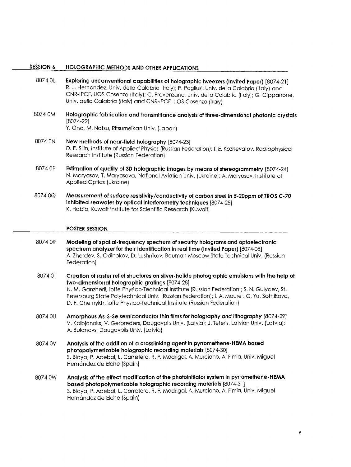#### SESSION 6 HOLOGRAPHIC METHODS AND OTHER APPLICATIONS

- 8074 OL Exploring unconventional capabilities of holographic tweezers (Invited Paper) [8074-21] R. J. Hernandez, Univ. della Calabria (Italy); P. Pagliusi, Univ. della Calabria (Italy) and CNR-IPCF, UOS Cosenza (Italy); C. Provenzano, Univ. della Calabria (Italy); G. Cipparrone, Univ. della Calabria (Italy) and CNR-IPCF, UOS Cosenza (Italy)
- 8074 0M Holographic fabrication and transmittance analysis of three-dimensional photonic crystals [8074-22]

Y. Ono, M. Notsu, Ritsumeikan Univ. (Japan)

- 8074 ON New methods of near-field holography [8074-23] D. E. Silin, Institute of Applied Physics (Russian Federation); I. E. Kozhevatov, Radiophysical Research Institute (Russian Federation)
- 8074 OP Estimation of quality of 3D holographic images by means of stereogrammetry [8074-24] N. Maryasov, T. Maryasova, National Aviation Univ. (Ukraine); A. Maryasov, Institute of Applied Optics (Ukraine)
- 8074 0Q Measurement of surface resistivity/conductivity of carbon steel in 5-20ppm of TROS C-70 inhibited seawater by optical interferometry techniques [8074-25] K. Habib, Kuwait Institute for Scientific Research (Kuwait)

#### POSTER SESSION

- Modeling of spatial-frequency spectrum of security holograms and optoelectronic spectrum analyzer for their identification in real time (Invited Paper) [8074-08] A. Zherdev, S. Odinokov, D. Lushnikov, Bauman Moscow State Technical Univ. (Russian Federation) 8074 OR
- Creation of raster relief structures on silver-halide photographic emulsions with the help of two-dimensional holographic gratings [8074-28] N. M. Ganzherli, loffe Physico-Technical Institute (Russian Federation); S. N. Gulyaev, St. Petersburg State Polytechnical Univ. (Russian Federation); I. A. Maurer, G. Yu. Sotnikova, D. F. Chernykh, loffe Physico-Technical Institute (Russian Federation) 8074 0T
- Amorphous As-S-Se semiconductor thin films for holography and lithography [8074-29] V. Kolbjonoks, V. Gerbreders, Daugavpils Univ. (Latvia); J.Teteris, Latvian Univ. (Latvia); A. Bulanovs, Daugavpils Univ. (Latvia) 8074 0U
- Analysis of the addition of a crosslinking agent in pyrromethene-HEMA based photopoiymerizable holographic recording materials [8074-30] S. Blaya, P. Acebal, L. Carretero, R. F. Madrigal, A. Murciano, A. Fimia, Univ. Miguel Hernández de Elche (Spain) 8074 0V
- Analysis of the effect modification of the photoinitiator system in pyrromethene-HEMA based photopoiymerizable holographic recording materials [8074-31] S. Blaya, P. Acebal, L. Carretero, R. F. Madrigal, A. Murciano, A. Fimia, Univ. Miguel Hernández de Elche (Spain) 8074 0W